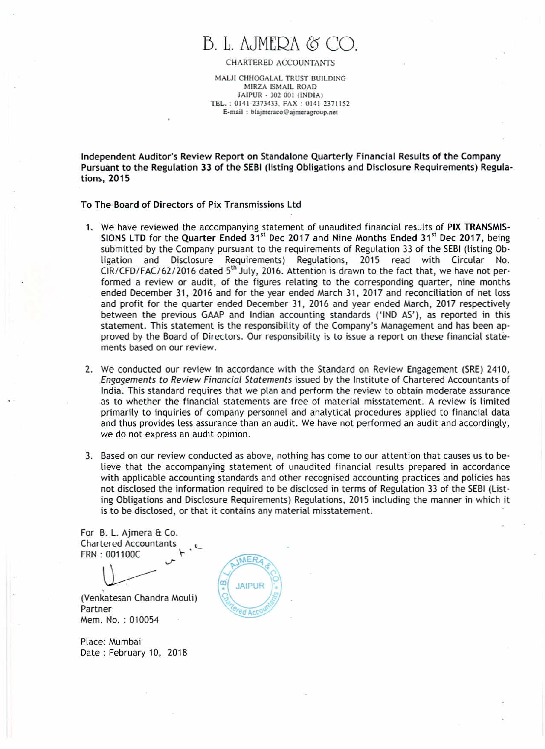## B. L. AJMERA & C

CHARTERED ACCOUNTANTS

MALJI CHHOGALAL TRUST BUILDING MIRZA ISMAIL ROAD JAIPUR • 302001 (INDIA) TEL.: 0141·237)433. FAX: 0141-2311152 E-mail: blajmeraco@ajmeragroup.net

Independent Auditor's Review Report on Standalone Quarterly Financial Results of the Company Pursuant to the Regulation 33 of the SEBI(listing Obligations and Disclosure Requirements) Regula· tions, 2015

To The Board of Directors of Pix Transmissions Ltd

- 1. We have reviewed the accompanying statement of unaudited financial results of PIX TRANSMIS-SIONS LTD for the Quarter Ended 31<sup>st</sup> Dec 2017 and Nine Months Ended 31<sup>st</sup> Dec 2017, being submitted by the Company pursuant to the requirements of Regulation 33 of the SEBI (listing Obligation and Disclosure Requirements) Regulations, 2015 read with Circular No.  $CIR/CFD/FAC/62/2016$  dated  $5<sup>th</sup>$  July, 2016. Attention is drawn to the fact that, we have not performed a review or audit, of the figures relating to the corresponding quarter, nine months ended December 31,2016 and for the year ended March 31, 2017 and reconciliation of net loss and profit for the quarter ended December 31, 2016 and year ended March, 2017 respectively between the previous GAAP and Indian accounting standards ('IND AS'), as reported in this statement. This statement is the responsibility of the Company's Management and has been approved by the Board of Directors. Our responsibility is to issue a report on these financial statements based on our review.
- 2. We conducted our review in accordance with the Standard on Review Engagement (SRE) 2410, *Engagements to Review Financial Statements* issued by the Institute of Chartered Accountants of India. This standard requires that we plan and perform the review to obtain moderate assurance as to whether the financial statements are free of material misstatement. A review is limited primarily to inquiries of company personnel and analytical procedures applied to financial data and thus provides less assurance than an audit. We have not performed an audit and accordingly, we do not express an audit opinion.
- 3. Based on our review conducted as above, nothing has come to our attention that causes us to believe that the accompanying statement of unaudited financial results prepared in accordance with applicable accounting standards and other recognised accounting practices and policies has not disclosed the information required to be disclosed in terms of Regulation 33 of the SEBI (Listing Obligations and Disclosure Requirements) Regulations, 2015 including the manner in which it is to be disclosed, or that it contains any material misstatement.

For B. L. Ajmera & Co. Chartered Accountants FRN : 001100C \- .

 $\left\langle \right\rangle$ 

(Venkatesan Chandra Mouli) Partner Mem. No. : 010054

Place: Mumbai Date: February 10, 2018

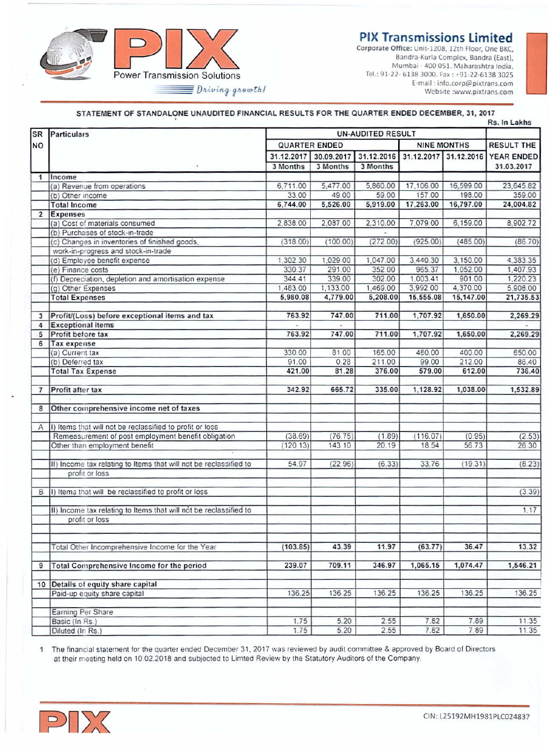**PIX Transmissions Limited** 



Corporate Office: Unit-1208, 12th Floor, One BKC, Bandra-Kurla Complex, Bandra (East), Mumbai - 400 051. Maharashtra India Tel.: 91-22- 6138 3000, Fax: +91-22-6138 3025 E-mail: info.corp@pixtrans.com Website :www.pixtrans.com

## STATEMENT OF STANDALONE UNAUDITED FINANCIAL RESULTS FOR THE QUARTER ENDED DECEMBER, 31, 2017

|                |                                                                   |                      |                       |                          | <b>RS. In Lakhs</b> |                       |                   |
|----------------|-------------------------------------------------------------------|----------------------|-----------------------|--------------------------|---------------------|-----------------------|-------------------|
| <b>SR</b>      | Particulars                                                       |                      |                       | <b>UN-AUDITED RESULT</b> |                     |                       |                   |
| <b>NO</b>      |                                                                   | <b>QUARTER ENDED</b> |                       |                          | <b>NINE MONTHS</b>  |                       | <b>RESULT THE</b> |
|                |                                                                   |                      | 31.12.2017 30.09.2017 | 31.12.2016               |                     | 31.12.2017 31.12.2016 | <b>YEAR ENDED</b> |
|                | $\;$                                                              | 3 Months             | 3 Months              | 3 Months                 |                     |                       | 31.03.2017        |
| 1              | Income                                                            |                      |                       |                          |                     |                       |                   |
|                | (a) Revenue from operations                                       | 6,711.00             | 5,477.00              | 5,860.00                 | 17,106.00           | 16,599.00             | 23,645.82         |
|                | (b) Other income                                                  | 33.00                | 49.00                 | 59.00                    | 157.00              | 198.00                | 359.00            |
|                | <b>Total Income</b>                                               | 6.744.00             | 5.526.00              | 5.919.00                 | 17,263.00           | 16,797.00             | 24.004.82         |
| $\overline{2}$ | <b>Expenses</b>                                                   |                      |                       |                          |                     |                       |                   |
|                | (a) Cost of materials consumed                                    | 2.838.00             | 2.087.00              | 2,310.00                 | 7.079.00            | 6,159.00              | 8.902.72          |
|                | (b) Purchases of stock-in-trade                                   |                      |                       |                          |                     |                       |                   |
|                | (c) Changes in inventories of finished goods,                     | (318.00)             | (100.00)              | (272.00)                 | (925,00)            | (485.00)              | (86.70)           |
|                | work-in-progress and stock-in-trade                               |                      |                       |                          |                     |                       |                   |
|                | (d) Employee benefit expense                                      | 1.302.30             | 1,029.00              | 1,047.00                 | 3,440.30            | 3,150.00              | 4.383.35          |
|                | (e) Finance costs                                                 | 330.37               | 291.00                | 352.00                   | 965.37              | 1,052.00              | 1,407.93          |
|                | (f) Depreciation, depletion and amortisation expense              | 344.41               | 339.00                | 302.00                   | 1.003.41            | 901.00                | 1.220.23          |
|                | (g) Other Expenses                                                | 1,483.00             | 1,133.00              | 1,469.00                 | 3,992.00            | 4,370.00              | 5.908.00          |
|                | <b>Total Expenses</b>                                             | 5,980.08             | 4,779.00              | 5,208.00                 | 15,555.08           | 15,147.00             | 21,735.53         |
| 3              | Profit/(Loss) before exceptional items and tax                    | 763.92               | 747.00                | 711.00                   | 1,707.92            | 1,650.00              | 2.269.29          |
| 4              | <b>Exceptional items</b>                                          |                      |                       |                          |                     |                       |                   |
| 5              | Profit before tax                                                 | 763.92               | 747.00                | 711.00                   | 1,707.92            | 1,650.00              | 2,269.29          |
| 6              | Tax expense                                                       |                      |                       |                          |                     |                       |                   |
|                | (a) Current tax                                                   | 330.00               | 81.00                 | 165.00                   | 480.00              | 400.00                | 650.00            |
|                | (b) Deferred tax                                                  | 91.00                | 0.28                  | 211.00                   | 99.00               | 212.00                | 86.40             |
|                | <b>Total Tax Expense</b>                                          | 421.00               | 81.28                 | 376.00                   | 579.00              | 612.00                | 736.40            |
|                |                                                                   |                      |                       |                          |                     |                       |                   |
| $\overline{7}$ | Profit after tax                                                  | 342.92               | 665.72                | 335.00                   | 1.128.92            | 1.038.00              | 1,532.89          |
|                |                                                                   |                      |                       |                          |                     |                       |                   |
| 8              | Other comprehensive income net of taxes                           |                      |                       |                          |                     |                       |                   |
| A              | I) Items that will not be reclassified to profit or loss          |                      |                       |                          |                     |                       |                   |
|                | Remeasurement of post employment benefit obligation               | (38.69)              | (76.75)               | (1.89)                   | (116.07)            | (0.95)                | (2.53)            |
|                | Other than employment benefit                                     | (120.13)             | 143.10                | 20.19                    | 18.54               | 56.73                 | 26.30             |
|                |                                                                   |                      |                       |                          |                     |                       |                   |
|                | II) Income tax relating to Items that will not be reclassified to | 54.97                | (22.96)               | (6.33)                   | 33.76               | (19.31)               | (8.23)            |
|                | profit or loss                                                    |                      |                       |                          |                     |                       |                   |
| $\overline{B}$ | I) Items that will be reclassified to profit or loss              |                      |                       |                          |                     |                       | (3.39)            |
|                |                                                                   |                      |                       |                          |                     |                       |                   |
|                | II) Income tax relating to Items that will not be reclassified to |                      |                       |                          |                     |                       | 1.17              |
|                | profit or loss                                                    |                      |                       |                          |                     |                       |                   |
|                |                                                                   |                      |                       |                          |                     |                       |                   |
|                | Total Other Incomprehensive Income for the Year                   | (103.85)             | 43.39                 | 11.97                    | (63.77)             | 36.47                 | 13.32             |
|                |                                                                   |                      |                       |                          |                     |                       |                   |
| $\overline{9}$ | Total Comprehensive Income for the period                         | 239.07               | 709.11                | 346.97                   | 1,065.15            | 1.074.47              | 1,546.21          |
|                | 10 Details of equity share capital                                |                      |                       |                          |                     |                       |                   |
|                | Paid-up equity share capital                                      | 136.25               | 136.25                | 136.25                   | 136.25              | 136.25                | 136.25            |
|                |                                                                   |                      |                       |                          |                     |                       |                   |
|                | Earning Per Share                                                 |                      |                       |                          |                     |                       |                   |
|                | Basic (In Rs.)                                                    | 1.75                 | 5.20                  | 2.55                     | 7.82                | 7.89                  | 11.35             |
|                | Diluted (In Rs.)                                                  | 1.75                 | 5.20                  | 2.55                     | 7.82                | 7.89                  | 11.35             |

1 The financial statement for the quarter ended December 31, 2017 was reviewed by audit committee & approved by Board of Directors at their meeting held on 10.02.2018 and subjected to Limted Review by the Statutory Auditors of the Company.